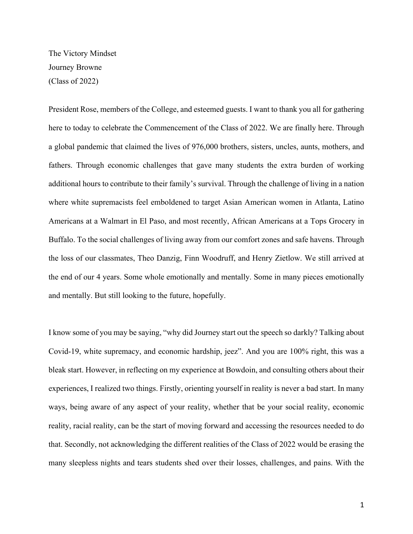The Victory Mindset Journey Browne (Class of 2022)

President Rose, members of the College, and esteemed guests. I want to thank you all for gathering here to today to celebrate the Commencement of the Class of 2022. We are finally here. Through a global pandemic that claimed the lives of 976,000 brothers, sisters, uncles, aunts, mothers, and fathers. Through economic challenges that gave many students the extra burden of working additional hours to contribute to their family's survival. Through the challenge of living in a nation where white supremacists feel emboldened to target Asian American women in Atlanta, Latino Americans at a Walmart in El Paso, and most recently, African Americans at a Tops Grocery in Buffalo. To the social challenges of living away from our comfort zones and safe havens. Through the loss of our classmates, Theo Danzig, Finn Woodruff, and Henry Zietlow. We still arrived at the end of our 4 years. Some whole emotionally and mentally. Some in many pieces emotionally and mentally. But still looking to the future, hopefully.

I know some of you may be saying, "why did Journey start out the speech so darkly? Talking about Covid-19, white supremacy, and economic hardship, jeez". And you are 100% right, this was a bleak start. However, in reflecting on my experience at Bowdoin, and consulting others about their experiences, I realized two things. Firstly, orienting yourself in reality is never a bad start. In many ways, being aware of any aspect of your reality, whether that be your social reality, economic reality, racial reality, can be the start of moving forward and accessing the resources needed to do that. Secondly, not acknowledging the different realities of the Class of 2022 would be erasing the many sleepless nights and tears students shed over their losses, challenges, and pains. With the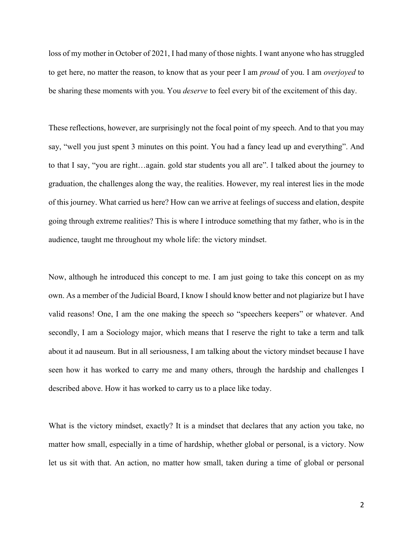loss of my mother in October of 2021, I had many of those nights. I want anyone who has struggled to get here, no matter the reason, to know that as your peer I am *proud* of you. I am *overjoyed* to be sharing these moments with you. You *deserve* to feel every bit of the excitement of this day.

These reflections, however, are surprisingly not the focal point of my speech. And to that you may say, "well you just spent 3 minutes on this point. You had a fancy lead up and everything". And to that I say, "you are right…again. gold star students you all are". I talked about the journey to graduation, the challenges along the way, the realities. However, my real interest lies in the mode of this journey. What carried us here? How can we arrive at feelings of success and elation, despite going through extreme realities? This is where I introduce something that my father, who is in the audience, taught me throughout my whole life: the victory mindset.

Now, although he introduced this concept to me. I am just going to take this concept on as my own. As a member of the Judicial Board, I know I should know better and not plagiarize but I have valid reasons! One, I am the one making the speech so "speechers keepers" or whatever. And secondly, I am a Sociology major, which means that I reserve the right to take a term and talk about it ad nauseum. But in all seriousness, I am talking about the victory mindset because I have seen how it has worked to carry me and many others, through the hardship and challenges I described above. How it has worked to carry us to a place like today.

What is the victory mindset, exactly? It is a mindset that declares that any action you take, no matter how small, especially in a time of hardship, whether global or personal, is a victory. Now let us sit with that. An action, no matter how small, taken during a time of global or personal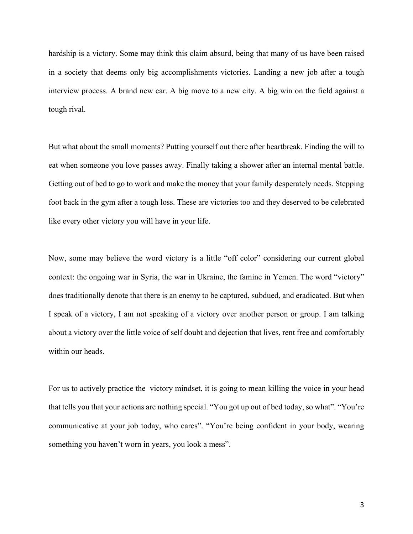hardship is a victory. Some may think this claim absurd, being that many of us have been raised in a society that deems only big accomplishments victories. Landing a new job after a tough interview process. A brand new car. A big move to a new city. A big win on the field against a tough rival.

But what about the small moments? Putting yourself out there after heartbreak. Finding the will to eat when someone you love passes away. Finally taking a shower after an internal mental battle. Getting out of bed to go to work and make the money that your family desperately needs. Stepping foot back in the gym after a tough loss. These are victories too and they deserved to be celebrated like every other victory you will have in your life.

Now, some may believe the word victory is a little "off color" considering our current global context: the ongoing war in Syria, the war in Ukraine, the famine in Yemen. The word "victory" does traditionally denote that there is an enemy to be captured, subdued, and eradicated. But when I speak of a victory, I am not speaking of a victory over another person or group. I am talking about a victory over the little voice of self doubt and dejection that lives, rent free and comfortably within our heads.

For us to actively practice the victory mindset, it is going to mean killing the voice in your head that tells you that your actions are nothing special. "You got up out of bed today, so what". "You're communicative at your job today, who cares". "You're being confident in your body, wearing something you haven't worn in years, you look a mess".